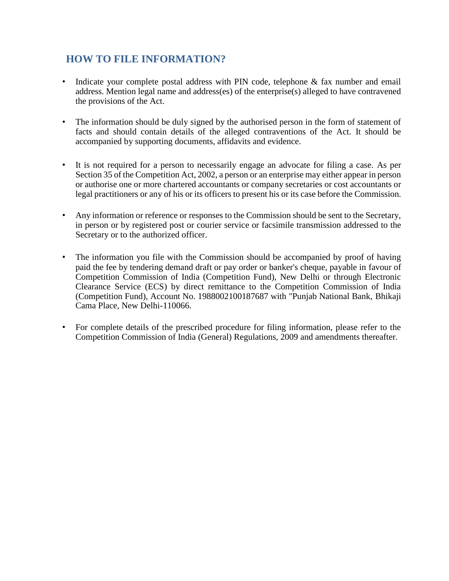## **HOW TO FILE INFORMATION?**

- Indicate your complete postal address with PIN code, telephone & fax number and email address. Mention legal name and address(es) of the enterprise(s) alleged to have contravened the provisions of the Act.
- The information should be duly signed by the authorised person in the form of statement of facts and should contain details of the alleged contraventions of the Act. It should be accompanied by supporting documents, affidavits and evidence.
- It is not required for a person to necessarily engage an advocate for filing a case. As per Section 35 of the Competition Act, 2002, a person or an enterprise may either appear in person or authorise one or more chartered accountants or company secretaries or cost accountants or legal practitioners or any of his or its officers to present his or its case before the Commission.
- Any information or reference or responses to the Commission should be sent to the Secretary, in person or by registered post or courier service or facsimile transmission addressed to the Secretary or to the authorized officer.
- The information you file with the Commission should be accompanied by proof of having paid the fee by tendering demand draft or pay order or banker's cheque, payable in favour of Competition Commission of India (Competition Fund), New Delhi or through Electronic Clearance Service (ECS) by direct remittance to the Competition Commission of India (Competition Fund), Account No. 1988002100187687 with "Punjab National Bank, Bhikaji Cama Place, New Delhi-110066.
- For complete details of the prescribed procedure for filing information, please refer to th[e](https://www.cci.gov.in/sites/default/files/regulation_pdf/cci%20general%20regulations%20as%20amended.pdf) [Competition Commission of India \(General\) Regulations, 2009](https://www.cci.gov.in/sites/default/files/regulation_pdf/cci%20general%20regulations%20as%20amended.pdf) and amendments thereafter.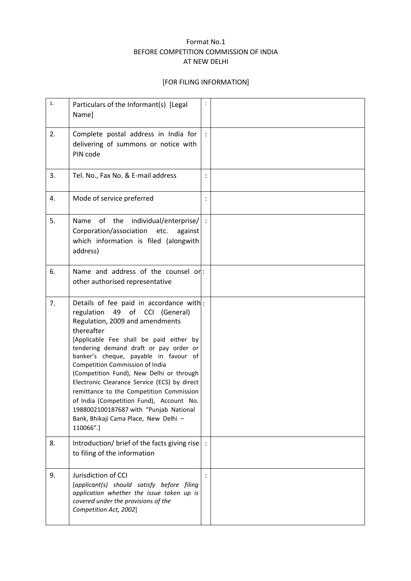## Format No.1 BEFORE COMPETITION COMMISSION OF INDIA AT NEW DELHI

## [FOR FILING INFORMATION]

| 1. | Particulars of the Informant(s) [Legal<br>Name]                                                                                                                                                                                                                                                                                                                                                                                                                                                                                                                                  |  |
|----|----------------------------------------------------------------------------------------------------------------------------------------------------------------------------------------------------------------------------------------------------------------------------------------------------------------------------------------------------------------------------------------------------------------------------------------------------------------------------------------------------------------------------------------------------------------------------------|--|
| 2. | Complete postal address in India for<br>delivering of summons or notice with<br>PIN code                                                                                                                                                                                                                                                                                                                                                                                                                                                                                         |  |
| 3. | Tel. No., Fax No. & E-mail address                                                                                                                                                                                                                                                                                                                                                                                                                                                                                                                                               |  |
| 4. | Mode of service preferred                                                                                                                                                                                                                                                                                                                                                                                                                                                                                                                                                        |  |
| 5. | Name of the individual/enterprise/<br>Corporation/association<br>etc.<br>against<br>which information is filed (alongwith<br>address)                                                                                                                                                                                                                                                                                                                                                                                                                                            |  |
| 6. | Name and address of the counsel or:<br>other authorised representative                                                                                                                                                                                                                                                                                                                                                                                                                                                                                                           |  |
| 7. | Details of fee paid in accordance with :<br>regulation 49 of CCI (General)<br>Regulation, 2009 and amendments<br>thereafter<br>[Applicable Fee shall be paid either by<br>tendering demand draft or pay order or<br>banker's cheque, payable in favour of<br>Competition Commission of India<br>(Competition Fund), New Delhi or through<br>Electronic Clearance Service (ECS) by direct<br>remittance to the Competition Commission<br>of India (Competition Fund), Account No.<br>1988002100187687 with "Punjab National<br>Bank, Bhikaji Cama Place, New Delhi -<br>110066".] |  |
| 8. | Introduction/ brief of the facts giving rise<br>to filing of the information                                                                                                                                                                                                                                                                                                                                                                                                                                                                                                     |  |
| 9. | Jurisdiction of CCI<br>[applicant(s) should satisfy before filing<br>application whether the issue taken up is<br>covered under the provisions of the<br>Competition Act, 2002]                                                                                                                                                                                                                                                                                                                                                                                                  |  |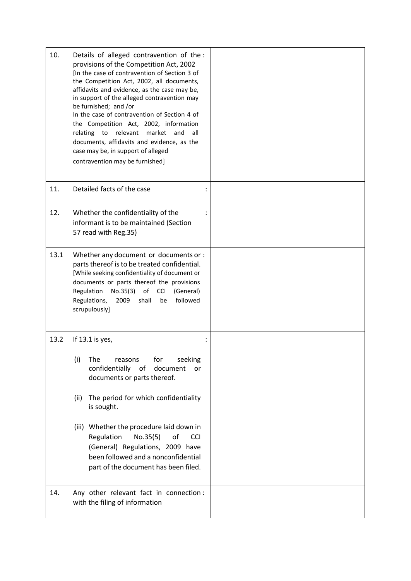| 10.  | Details of alleged contravention of the :<br>provisions of the Competition Act, 2002<br>[In the case of contravention of Section 3 of<br>the Competition Act, 2002, all documents,<br>affidavits and evidence, as the case may be,<br>in support of the alleged contravention may<br>be furnished; and /or<br>In the case of contravention of Section 4 of<br>the Competition Act, 2002, information<br>relating to relevant market and<br>all<br>documents, affidavits and evidence, as the<br>case may be, in support of alleged<br>contravention may be furnished] |  |
|------|-----------------------------------------------------------------------------------------------------------------------------------------------------------------------------------------------------------------------------------------------------------------------------------------------------------------------------------------------------------------------------------------------------------------------------------------------------------------------------------------------------------------------------------------------------------------------|--|
| 11.  | Detailed facts of the case                                                                                                                                                                                                                                                                                                                                                                                                                                                                                                                                            |  |
| 12.  | Whether the confidentiality of the<br>informant is to be maintained (Section<br>57 read with Reg.35)                                                                                                                                                                                                                                                                                                                                                                                                                                                                  |  |
| 13.1 | Whether any document or documents or :<br>parts thereof is to be treated confidential.<br>[While seeking confidentiality of document or<br>documents or parts thereof the provisions<br>Regulation<br>No.35(3)<br>of CCI<br>(General)<br>followed<br>Regulations,<br>2009<br>shall<br>be<br>scrupulously]                                                                                                                                                                                                                                                             |  |
| 13.2 | If 13.1 is yes,<br>(i)<br>The<br>seeking<br>for<br>reasons<br>confidentially<br>of<br>document<br>or<br>documents or parts thereof.<br>The period for which confidentiality<br>(ii)<br>is sought.<br>(iii) Whether the procedure laid down in<br>Regulation<br>No.35(5)<br>of<br>CCI<br>(General) Regulations, 2009 have<br>been followed and a nonconfidential<br>part of the document has been filed.                                                                                                                                                               |  |
| 14.  | Any other relevant fact in connection:<br>with the filing of information                                                                                                                                                                                                                                                                                                                                                                                                                                                                                              |  |